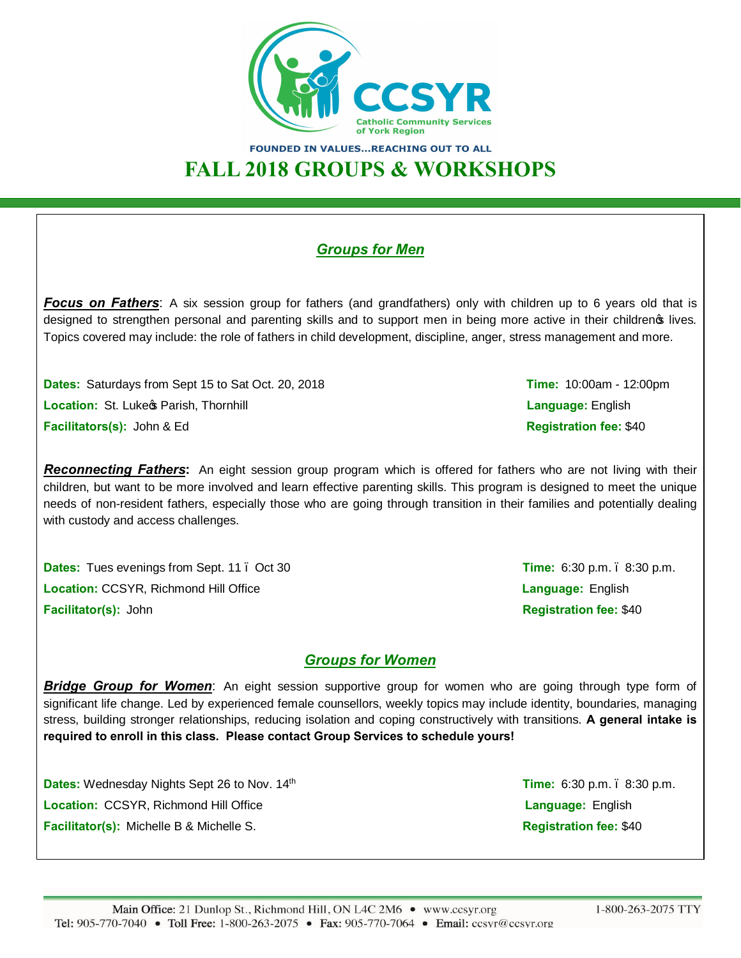

# **FALL 2018 GROUPS & WORKSHOPS**

## *Groups for Men*

*Focus on Fathers*: A six session group for fathers (and grandfathers) only with children up to 6 years old that is designed to strengthen personal and parenting skills and to support men in being more active in their children's lives*.* Topics covered may include: the role of fathers in child development, discipline, anger, stress management and more.

**Dates:** Saturdays from Sept 15 to Sat Oct. 20, 2018 **Time:** 10:00am - 12:00pm **Location:** St. Luke of Parish, Thornhill **Language:** *Language: English* **Language: English Facilitators(s):** John & Ed **Registration fee:** \$40

*Reconnecting Fathers***:** An eight session group program which is offered for fathers who are not living with their children, but want to be more involved and learn effective parenting skills. This program is designed to meet the unique needs of non-resident fathers, especially those who are going through transition in their families and potentially dealing with custody and access challenges.

**Dates:** Tues evenings from Sept. 11 – Oct 30 **Time:** 6:30 p.m. – 8:30 p.m. – 8:30 p.m. **Location:** CCSYR, Richmond Hill Office **Language:** English **Facilitator(s):** John **Registration fee:** \$40

## *Groups for Women*

*Bridge Group for Women*: An eight session supportive group for women who are going through type form of significant life change. Led by experienced female counsellors, weekly topics may include identity, boundaries, managing stress, building stronger relationships, reducing isolation and coping constructively with transitions. **A general intake is required to enroll in this class. Please contact Group Services to schedule yours!**

**Dates:** Wednesday Nights Sept 26 to Nov.  $14^{th}$  **Time:** 6:30 p.m. – 8:30 p.m. **Location:** CCSYR, Richmond Hill Office **Language:** English **Facilitator(s):** Michelle B & Michelle S. **Registration fee:** \$40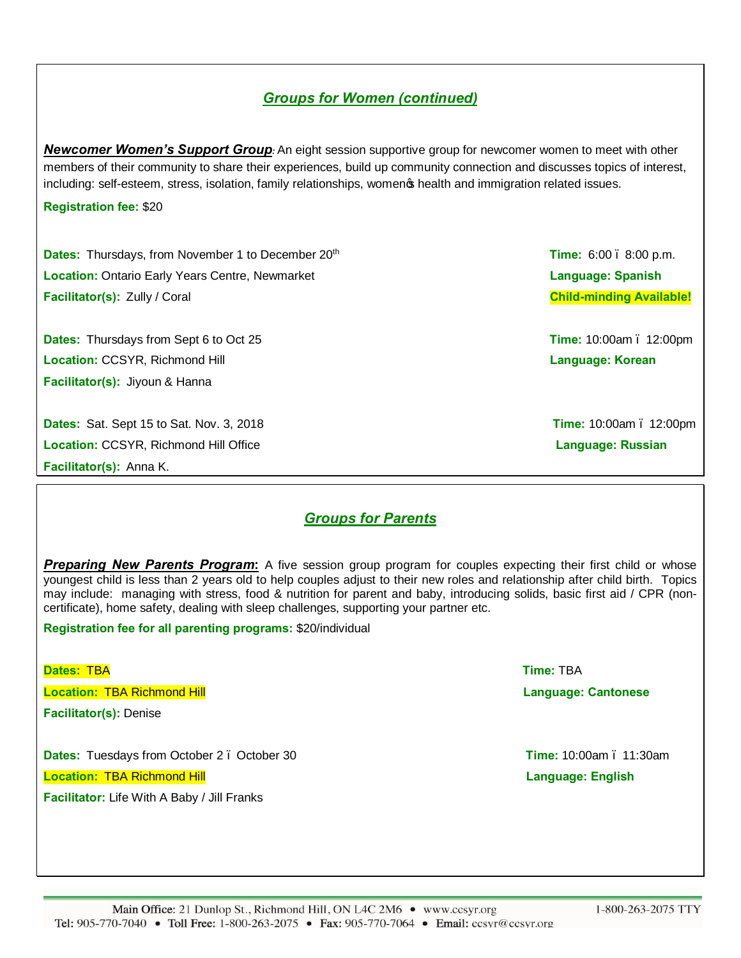## *Groups for Women (continued)*

*Newcomer Women's Support Group:* An eight session supportive group for newcomer women to meet with other members of their community to share their experiences, build up community connection and discusses topics of interest, including: self-esteem, stress, isolation, family relationships, women thealth and immigration related issues.

#### **Registration fee:** \$20

**Dates:** Thursdays, from November 1 to December 20<sup>th</sup> **Time:** 6:00 – 8:00 p.m. **Location:** Ontario Early Years Centre, Newmarket **Language: Spanish** *Language: Spanish* **Language: Spanish Facilitator(s):** Zully / Coral **Child-minding Available!**

**Dates:** Thursdays from Sept 6 to Oct 25 **Time:** 10:00am – 12:00pm **Location:** CCSYR, Richmond Hill **Language: Korean Facilitator(s):** Jiyoun & Hanna

**Dates:** Sat. Sept 15 to Sat. Nov. 3, 2018 **Time:** 10:00am – 12:00pm **Location:** CCSYR, Richmond Hill Office **Language: Russian Language: Russian Facilitator(s):** Anna K.

## *Groups for Parents*

**Preparing New Parents Program:** A five session group program for couples expecting their first child or whose youngest child is less than 2 years old to help couples adjust to their new roles and relationship after child birth. Topics may include: managing with stress, food & nutrition for parent and baby, introducing solids, basic first aid / CPR (noncertificate), home safety, dealing with sleep challenges, supporting your partner etc.

**Registration fee for all parenting programs:** \$20/individual

**Dates:** TBA **Time:** TBA

**Location:** TBA Richmond Hill **Language: Cantonese**

**Facilitator(s):** Denise

**Dates:** Tuesdays from October 2 – October 30 **Time:** 10:00am – 11:30am

**Location:** TBA Richmond Hill **Language: English**

**Facilitator:** Life With A Baby / Jill Franks